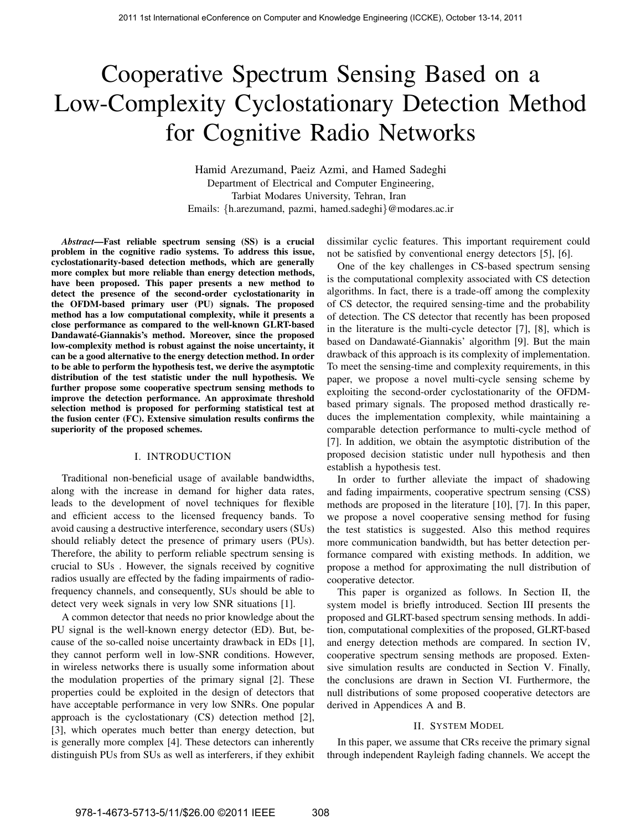# Cooperative Spectrum Sensing Based on a Low-Complexity Cyclostationary Detection Method for Cognitive Radio Networks

Hamid Arezumand, Paeiz Azmi, and Hamed Sadeghi Department of Electrical and Computer Engineering, Tarbiat Modares University, Tehran, Iran Emails: {h.arezumand, pazmi, hamed.sadeghi}@modares.ac.ir

*Abstract***—Fast reliable spectrum sensing (SS) is a crucial problem in the cognitive radio systems. To address this issue, cyclostationarity-based detection methods, which are generally more complex but more reliable than energy detection methods, have been proposed. This paper presents a new method to detect the presence of the second-order cyclostationarity in the OFDM-based primary user (PU) signals. The proposed method has a low computational complexity, while it presents a close performance as compared to the well-known GLRT-based Dandawate-Giannakis's method. Moreover, since the proposed ´ low-complexity method is robust against the noise uncertainty, it can be a good alternative to the energy detection method. In order to be able to perform the hypothesis test, we derive the asymptotic distribution of the test statistic under the null hypothesis. We further propose some cooperative spectrum sensing methods to improve the detection performance. An approximate threshold selection method is proposed for performing statistical test at the fusion center (FC). Extensive simulation results confirms the superiority of the proposed schemes.**

## I. INTRODUCTION

Traditional non-beneficial usage of available bandwidths, along with the increase in demand for higher data rates, leads to the development of novel techniques for flexible and efficient access to the licensed frequency bands. To avoid causing a destructive interference, secondary users (SUs) should reliably detect the presence of primary users (PUs). Therefore, the ability to perform reliable spectrum sensing is crucial to SUs . However, the signals received by cognitive radios usually are effected by the fading impairments of radiofrequency channels, and consequently, SUs should be able to detect very week signals in very low SNR situations [1].

A common detector that needs no prior knowledge about the PU signal is the well-known energy detector (ED). But, because of the so-called noise uncertainty drawback in EDs [1], they cannot perform well in low-SNR conditions. However, in wireless networks there is usually some information about the modulation properties of the primary signal [2]. These properties could be exploited in the design of detectors that have acceptable performance in very low SNRs. One popular approach is the cyclostationary (CS) detection method [2], [3], which operates much better than energy detection, but is generally more complex [4]. These detectors can inherently distinguish PUs from SUs as well as interferers, if they exhibit dissimilar cyclic features. This important requirement could not be satisfied by conventional energy detectors [5], [6].

One of the key challenges in CS-based spectrum sensing is the computational complexity associated with CS detection algorithms. In fact, there is a trade-off among the complexity of CS detector, the required sensing-time and the probability of detection. The CS detector that recently has been proposed in the literature is the multi-cycle detector [7], [8], which is based on Dandawaté-Giannakis' algorithm [9]. But the main drawback of this approach is its complexity of implementation. To meet the sensing-time and complexity requirements, in this paper, we propose a novel multi-cycle sensing scheme by exploiting the second-order cyclostationarity of the OFDMbased primary signals. The proposed method drastically reduces the implementation complexity, while maintaining a comparable detection performance to multi-cycle method of [7]. In addition, we obtain the asymptotic distribution of the proposed decision statistic under null hypothesis and then establish a hypothesis test.

In order to further alleviate the impact of shadowing and fading impairments, cooperative spectrum sensing (CSS) methods are proposed in the literature [10], [7]. In this paper, we propose a novel cooperative sensing method for fusing the test statistics is suggested. Also this method requires more communication bandwidth, but has better detection performance compared with existing methods. In addition, we propose a method for approximating the null distribution of cooperative detector.

This paper is organized as follows. In Section II, the system model is briefly introduced. Section III presents the proposed and GLRT-based spectrum sensing methods. In addition, computational complexities of the proposed, GLRT-based and energy detection methods are compared. In section IV, cooperative spectrum sensing methods are proposed. Extensive simulation results are conducted in Section V. Finally, the conclusions are drawn in Section VI. Furthermore, the null distributions of some proposed cooperative detectors are derived in Appendices A and B.

#### II. SYSTEM MODEL

In this paper, we assume that CRs receive the primary signal through independent Rayleigh fading channels. We accept the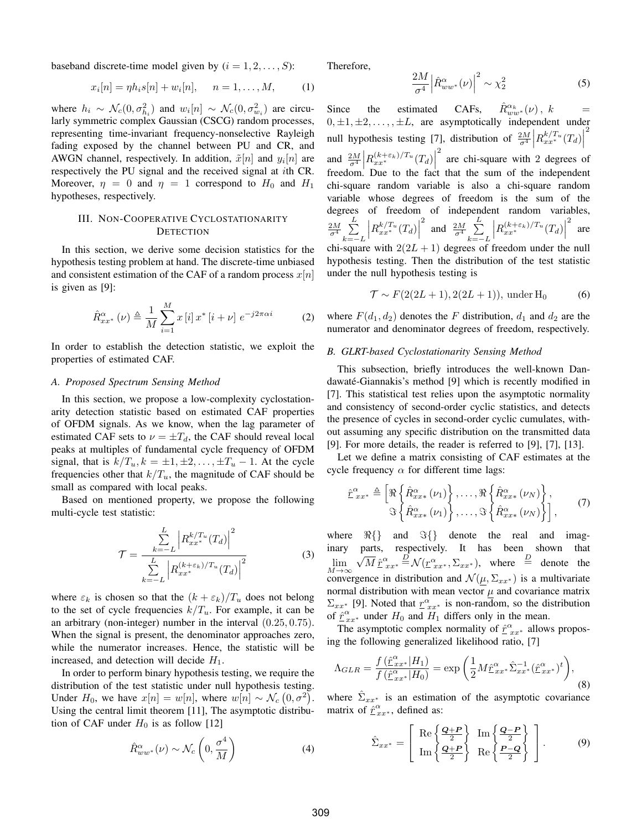baseband discrete-time model given by  $(i = 1, 2, \ldots, S)$ :

$$
x_i[n] = \eta h_i s[n] + w_i[n], \quad n = 1, ..., M,
$$
 (1)

where  $h_i \sim \mathcal{N}_c(0, \sigma_{h_i}^2)$  and  $w_i[n] \sim \mathcal{N}_c(0, \sigma_{w_i}^2)$  are circularly symmetric complex Gaussian (CSCG) random processes, representing time-invariant frequency-nonselective Rayleigh fading exposed by the channel between PU and CR, and AWGN channel, respectively. In addition,  $\tilde{x}[n]$  and  $y_i[n]$  are respectively the PU signal and the received signal at *i*th CR. Moreover,  $\eta = 0$  and  $\eta = 1$  correspond to  $H_0$  and  $H_1$ hypotheses, respectively.

# III. NON-COOPERATIVE CYCLOSTATIONARITY **DETECTION**

In this section, we derive some decision statistics for the hypothesis testing problem at hand. The discrete-time unbiased and consistent estimation of the CAF of a random process  $x[n]$ is given as [9]:

$$
\hat{R}_{xx^*}^{\alpha}(\nu) \triangleq \frac{1}{M} \sum_{i=1}^{M} x[i] \, x^* \left[i + \nu\right] \, e^{-j2\pi\alpha i} \tag{2}
$$

In order to establish the detection statistic, we exploit the properties of estimated CAF.

## *A. Proposed Spectrum Sensing Method*

In this section, we propose a low-complexity cyclostationarity detection statistic based on estimated CAF properties of OFDM signals. As we know, when the lag parameter of estimated CAF sets to  $\nu = \pm T_d$ , the CAF should reveal local peaks at multiples of fundamental cycle frequency of OFDM signal, that is  $k/T_u$ ,  $k = \pm 1, \pm 2, \ldots, \pm T_u - 1$ . At the cycle frequencies other that  $k/T_u$ , the magnitude of CAF should be small as compared with local peaks.

Based on mentioned property, we propose the following multi-cycle test statistic:

$$
\mathcal{T} = \frac{\sum_{k=-L}^{L} \left| R_{xx^*}^{k/T_u}(T_d) \right|^2}{\sum_{k=-L}^{L} \left| R_{xx^*}^{(k+\varepsilon_k)/T_u}(T_d) \right|^2}
$$
(3)

where  $\varepsilon_k$  is chosen so that the  $(k + \varepsilon_k)/T_u$  does not belong to the set of cycle frequencies  $k/T_u$ . For example, it can be an arbitrary (non-integer) number in the interval (0.25, 0.75). When the signal is present, the denominator approaches zero, while the numerator increases. Hence, the statistic will be increased, and detection will decide  $H_1$ .

In order to perform binary hypothesis testing, we require the distribution of the test statistic under null hypothesis testing. Under  $H_0$ , we have  $x[n] = w[n]$ , where  $w[n] \sim \mathcal{N}_c(0, \sigma^2)$ . Using the central limit theorem [11], The asymptotic distribution of CAF under  $H_0$  is as follow [12]

$$
\hat{R}_{ww^*}^{\alpha}(\nu) \sim \mathcal{N}_c\left(0, \frac{\sigma^4}{M}\right) \tag{4}
$$

Therefore,

$$
\frac{2M}{\sigma^4} \left| \hat{R}_{ww^*}^{\alpha}(\nu) \right|^2 \sim \chi_2^2 \tag{5}
$$

Since the estimated CAFs,  $\hat{R}_{ww^*}^{\alpha_k}(\nu)\,,\;k$  $0, \pm 1, \pm 2, \ldots, \pm L$ , are asymptotically independent under null hypothesis testing [7], distribution of  $\frac{2M}{\sigma^4} \left| R_{xx^*}^{k/T_u}(T_d) \right|$ 2 and  $\frac{2M}{\sigma^4} \left| R_{xx^*}^{(k+\epsilon_k)/T_u}(T_d) \right|$ freedom. Due to the fact that the sum of the independent 2 are chi-square with 2 degrees of chi-square random variable is also a chi-square random variable whose degrees of freedom is the sum of the degrees of freedom of independent random variables,  $\frac{2M}{\sigma^4}$   $\sum$  $k = -L$  $\left| R_{xx^*}^{k/T_u}(T_d) \right|$ <sup>2</sup> and  $\frac{2M}{\sigma^4}$ ,  $\sum$  $k=-\frac{L}{c}$  $\left| R_{xx^*}^{(k+\varepsilon_k)/T_u}(T_d) \right|$ 2 are chi-square with  $2(2L + 1)$  degrees of freedom under the null hypothesis testing. Then the distribution of the test statistic under the null hypothesis testing is

$$
\mathcal{T} \sim F(2(2L+1), 2(2L+1)), \text{ under } H_0 \tag{6}
$$

where  $F(d_1, d_2)$  denotes the F distribution,  $d_1$  and  $d_2$  are the numerator and denominator degrees of freedom, respectively.

## *B. GLRT-based Cyclostationarity Sensing Method*

This subsection, briefly introduces the well-known Dandawaté-Giannakis's method [9] which is recently modified in [7]. This statistical test relies upon the asymptotic normality and consistency of second-order cyclic statistics, and detects the presence of cycles in second-order cyclic cumulates, without assuming any specific distribution on the transmitted data [9]. For more details, the reader is referred to [9], [7], [13].

Let we define a matrix consisting of CAF estimates at the cycle frequency  $\alpha$  for different time lags:

$$
\hat{\underline{r}}_{xx^*}^{\alpha} \triangleq \left[ \Re \left\{ \hat{R}_{xx^*}^{\alpha}(\nu_1) \right\}, \dots, \Re \left\{ \hat{R}_{xx^*}^{\alpha}(\nu_N) \right\}, \\ \Im \left\{ \hat{R}_{xx^*}^{\alpha}(\nu_1) \right\}, \dots, \Im \left\{ \hat{R}_{xx^*}^{\alpha}(\nu_N) \right\} \right], \tag{7}
$$

where  $\mathbb{R} \{\}$  and  $\Im \{\}$  denote the real and imaginary parts, respectively. It has been shown that lim  $M \rightarrow \infty$   $\overline{a} \rightarrow a$   $\overline{b} \rightarrow a$   $\overline{c} \rightarrow a$   $\overline{d} \rightarrow b$   $\overline{c} \rightarrow c$  ) is a multivariate  $\sqrt{M} \hat{r}^{\alpha}_{xx*}$  $\stackrel{D}{=} \mathcal{N}(r^{\alpha}_{xx^*}, \Sigma_{xx^*}),$  where  $\stackrel{D}{=}$  denote the normal distribution with mean vector  $\mu$  and covariance matrix  $\Sigma_{xx^*}$  [9]. Noted that  $\mathcal{L}^{\alpha}_{xx^*}$  is non-random, so the distribution of  $\hat{T}_{xx^*}^{\alpha}$  under  $H_0$  and  $H_1$  differs only in the mean.

The asymptotic complex normality of  $\hat{r}_{xx^*}^{\alpha}$  allows proposing the following generalized likelihood ratio, [7]

$$
\Lambda_{GLR} = \frac{f(\hat{\underline{r}}_{xx*}^{\alpha}|H_1)}{f(\hat{\underline{r}}_{xx*}^{\alpha}|H_0)} = \exp\left(\frac{1}{2}M\hat{\underline{r}}_{xx*}^{\alpha}\hat{\Sigma}_{xx*}^{-1}(\hat{\underline{r}}_{xx*}^{\alpha})^t\right),\tag{8}
$$

where  $\Sigma_{xx^*}$  is an estimation of the asymptotic covariance matrix of  $\hat{\underline{r}}_{xx^*}^{\alpha}$ , defined as:

$$
\hat{\Sigma}_{xx^*} = \begin{bmatrix} \text{Re}\left\{\frac{Q+P}{2}\right\} & \text{Im}\left\{\frac{Q-P}{2}\right\} \\ \text{Im}\left\{\frac{Q+P}{2}\right\} & \text{Re}\left\{\frac{P-Q}{2}\right\} \end{bmatrix} . \tag{9}
$$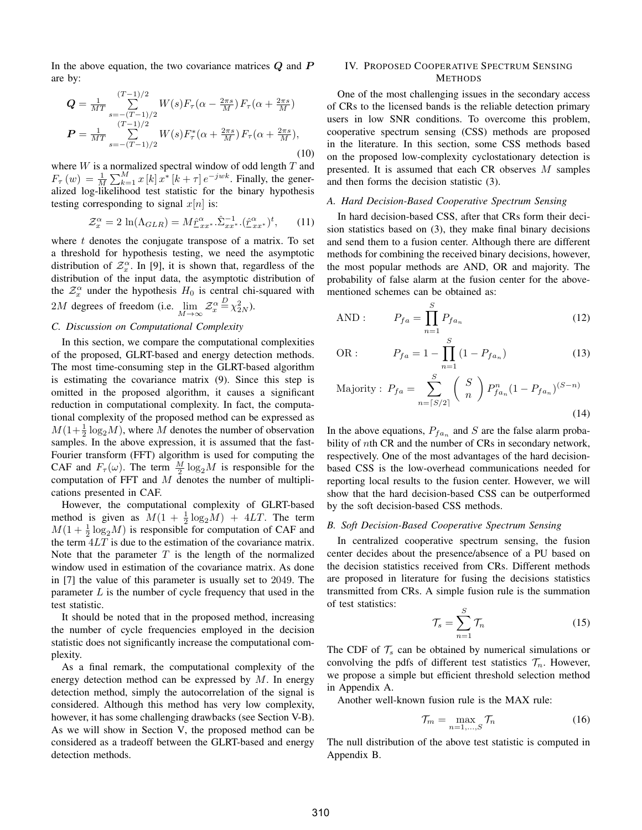In the above equation, the two covariance matrices  $Q$  and  $P$ are by:

$$
Q = \frac{1}{MT} \sum_{s=-(T-1)/2}^{(T-1)/2} W(s) F_{\tau}(\alpha - \frac{2\pi s}{M}) F_{\tau}(\alpha + \frac{2\pi s}{M})
$$
  

$$
P = \frac{1}{MT} \sum_{s=-(T-1)/2}^{(T-1)/2} W(s) F_{\tau}^*(\alpha + \frac{2\pi s}{M}) F_{\tau}(\alpha + \frac{2\pi s}{M}),
$$
(10)

where  $W$  is a normalized spectral window of odd length  $T$  and  $F_{\tau}(w) = \frac{1}{M} \sum_{k=1}^{M} x[k] x^{*} [k + \tau] e^{-jwk}$ . Finally, the generalized log-likelihood test statistic for the binary hypothesis testing corresponding to signal  $x[n]$  is:

$$
\mathcal{Z}_x^{\alpha} = 2 \ln(\Lambda_{GLR}) = M \hat{\underline{r}}_{xx^*}^{\alpha} \cdot \hat{\Sigma}_{xx^*}^{-1} \cdot (\hat{\underline{r}}_{xx^*}^{\alpha})^t, \qquad (11)
$$

where  $t$  denotes the conjugate transpose of a matrix. To set a threshold for hypothesis testing, we need the asymptotic distribution of  $\mathcal{Z}_x^{\alpha}$ . In [9], it is shown that, regardless of the distribution of the input data, the asymptotic distribution of the  $\mathcal{Z}_x^{\alpha}$  under the hypothesis  $H_0$  is central chi-squared with 2*M* degrees of freedom (i.e.  $\lim_{M \to \infty} \mathcal{Z}_x^{\alpha}$  $\frac{D}{2} \chi^2_{2N}$ ).

## *C. Discussion on Computational Complexity*

In this section, we compare the computational complexities of the proposed, GLRT-based and energy detection methods. The most time-consuming step in the GLRT-based algorithm is estimating the covariance matrix (9). Since this step is omitted in the proposed algorithm, it causes a significant reduction in computational complexity. In fact, the computational complexity of the proposed method can be expressed as  $M(1+\frac{1}{2}\log_2 M)$ , where M denotes the number of observation samples. In the above expression, it is assumed that the fast-Fourier transform (FFT) algorithm is used for computing the CAF and  $F_{\tau}(\omega)$ . The term  $\frac{M}{2} \log_2 M$  is responsible for the computation of FFT and  $M$  denotes the number of multiplications presented in CAF.

However, the computational complexity of GLRT-based method is given as  $M(1 + \frac{1}{2} \log_2 M) + 4LT$ . The term  $M(1 + \frac{1}{2}\log_2 M)$  is responsible for computation of CAF and the term  $4LT$  is due to the estimation of the covariance matrix. Note that the parameter  $T$  is the length of the normalized window used in estimation of the covariance matrix. As done in [7] the value of this parameter is usually set to 2049. The parameter  $L$  is the number of cycle frequency that used in the test statistic.

It should be noted that in the proposed method, increasing the number of cycle frequencies employed in the decision statistic does not significantly increase the computational complexity.

As a final remark, the computational complexity of the energy detection method can be expressed by  $M$ . In energy detection method, simply the autocorrelation of the signal is considered. Although this method has very low complexity, however, it has some challenging drawbacks (see Section V-B). As we will show in Section V, the proposed method can be considered as a tradeoff between the GLRT-based and energy detection methods.

## IV. PROPOSED COOPERATIVE SPECTRUM SENSING **METHODS**

One of the most challenging issues in the secondary access of CRs to the licensed bands is the reliable detection primary users in low SNR conditions. To overcome this problem, cooperative spectrum sensing (CSS) methods are proposed in the literature. In this section, some CSS methods based on the proposed low-complexity cyclostationary detection is presented. It is assumed that each CR observes  $M$  samples and then forms the decision statistic (3).

#### *A. Hard Decision-Based Cooperative Spectrum Sensing*

In hard decision-based CSS, after that CRs form their decision statistics based on (3), they make final binary decisions and send them to a fusion center. Although there are different methods for combining the received binary decisions, however, the most popular methods are AND, OR and majority. The probability of false alarm at the fusion center for the abovementioned schemes can be obtained as:

AND: 
$$
P_{fa} = \prod_{n=1}^{S} P_{fa_n}
$$
 (12)

OR: 
$$
P_{fa} = 1 - \prod_{n=1}^{S} (1 - P_{fa_n})
$$
 (13)

Majority: 
$$
P_{fa} = \sum_{n= \lceil S/2 \rceil}^{S} \binom{S}{n} P_{fa_n}^n (1 - P_{fa_n})^{(S-n)}
$$
 (14)

In the above equations,  $P_{fa_n}$  and  $S$  are the false alarm probability of  $n$ th CR and the number of CRs in secondary network, respectively. One of the most advantages of the hard decisionbased CSS is the low-overhead communications needed for reporting local results to the fusion center. However, we will show that the hard decision-based CSS can be outperformed by the soft decision-based CSS methods.

### *B. Soft Decision-Based Cooperative Spectrum Sensing*

In centralized cooperative spectrum sensing, the fusion center decides about the presence/absence of a PU based on the decision statistics received from CRs. Different methods are proposed in literature for fusing the decisions statistics transmitted from CRs. A simple fusion rule is the summation of test statistics:

$$
\mathcal{T}_s = \sum_{n=1}^S \mathcal{T}_n \tag{15}
$$

The CDF of  $\mathcal{T}_s$  can be obtained by numerical simulations or convolving the pdfs of different test statistics  $\mathcal{T}_n$ . However, we propose a simple but efficient threshold selection method in Appendix A.

Another well-known fusion rule is the MAX rule:

$$
\mathcal{T}_m = \max_{n=1,\dots,S} \mathcal{T}_n \tag{16}
$$

The null distribution of the above test statistic is computed in Appendix B.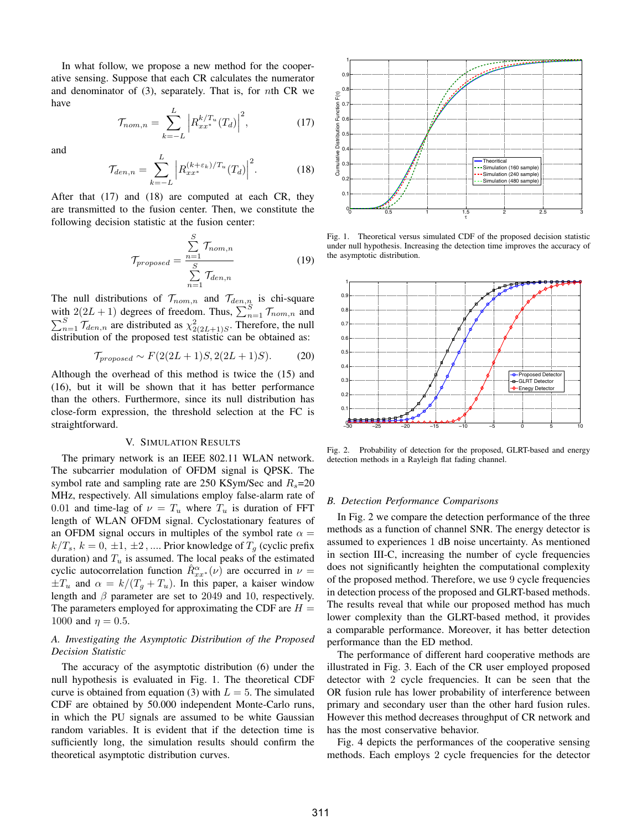In what follow, we propose a new method for the cooperative sensing. Suppose that each CR calculates the numerator and denominator of  $(3)$ , separately. That is, for nth CR we have

$$
\mathcal{T}_{nom,n} = \sum_{k=-L}^{L} \left| R_{xx^*}^{k/T_u}(T_d) \right|^2, \tag{17}
$$

and

$$
\mathcal{T}_{den,n} = \sum_{k=-L}^{L} \left| R_{xx^*}^{(k+\varepsilon_k)/T_u}(T_d) \right|^2.
$$
 (18)

After that (17) and (18) are computed at each CR, they are transmitted to the fusion center. Then, we constitute the following decision statistic at the fusion center:

$$
\mathcal{T}_{proposed} = \frac{\sum_{n=1}^{S} \mathcal{T}_{nom,n}}{\sum_{n=1}^{S} \mathcal{T}_{den,n}}
$$
(19)

The null distributions of  $\mathcal{T}_{nom,n}$  and  $\mathcal{T}_{den,n}$  is chi-square with  $2(2L+1)$  degrees of freedom. Thus,  $\sum_{n=1}^{S} \mathcal{T}_{nom,n}$  and  $\sum_{n=1}^{S} \mathcal{T}_{den,n}$  are distributed as  $\chi^2_{2(2L+1)S}$ . Therefore, the null distribution of the proposed test statistic can be obtained as:

$$
\mathcal{T}_{proposed} \sim F(2(2L+1)S, 2(2L+1)S). \tag{20}
$$

Although the overhead of this method is twice the (15) and (16), but it will be shown that it has better performance than the others. Furthermore, since its null distribution has close-form expression, the threshold selection at the FC is straightforward.

#### V. SIMULATION RESULTS

The primary network is an IEEE 802.11 WLAN network. The subcarrier modulation of OFDM signal is QPSK. The symbol rate and sampling rate are 250 KSym/Sec and  $R_s$ =20 MHz, respectively. All simulations employ false-alarm rate of 0.01 and time-lag of  $\nu = T_u$  where  $T_u$  is duration of FFT length of WLAN OFDM signal. Cyclostationary features of an OFDM signal occurs in multiples of the symbol rate  $\alpha =$  $k/T_s$ ,  $k = 0, \pm 1, \pm 2, \dots$  Prior knowledge of  $T_g$  (cyclic prefix duration) and  $T_u$  is assumed. The local peaks of the estimated cyclic autocorrelation function  $\hat{R}_{xx}^{\alpha}(\nu)$  are occurred in  $\nu =$  $\pm T_u$  and  $\alpha = k/(T_g + T_u)$ . In this paper, a kaiser window length and  $\beta$  parameter are set to 2049 and 10, respectively. The parameters employed for approximating the CDF are  $H =$ 1000 and  $\eta = 0.5$ .

# *A. Investigating the Asymptotic Distribution of the Proposed Decision Statistic*

The accuracy of the asymptotic distribution (6) under the null hypothesis is evaluated in Fig. 1. The theoretical CDF curve is obtained from equation (3) with  $L = 5$ . The simulated CDF are obtained by 50.000 independent Monte-Carlo runs, in which the PU signals are assumed to be white Gaussian random variables. It is evident that if the detection time is sufficiently long, the simulation results should confirm the theoretical asymptotic distribution curves.



Fig. 1. Theoretical versus simulated CDF of the proposed decision statistic under null hypothesis. Increasing the detection time improves the accuracy of the asymptotic distribution.



Fig. 2. Probability of detection for the proposed, GLRT-based and energy detection methods in a Rayleigh flat fading channel.

#### *B. Detection Performance Comparisons*

In Fig. 2 we compare the detection performance of the three methods as a function of channel SNR. The energy detector is assumed to experiences 1 dB noise uncertainty. As mentioned in section III-C, increasing the number of cycle frequencies does not significantly heighten the computational complexity of the proposed method. Therefore, we use 9 cycle frequencies in detection process of the proposed and GLRT-based methods. The results reveal that while our proposed method has much lower complexity than the GLRT-based method, it provides a comparable performance. Moreover, it has better detection performance than the ED method.

The performance of different hard cooperative methods are illustrated in Fig. 3. Each of the CR user employed proposed detector with 2 cycle frequencies. It can be seen that the OR fusion rule has lower probability of interference between primary and secondary user than the other hard fusion rules. However this method decreases throughput of CR network and has the most conservative behavior.

Fig. 4 depicts the performances of the cooperative sensing methods. Each employs 2 cycle frequencies for the detector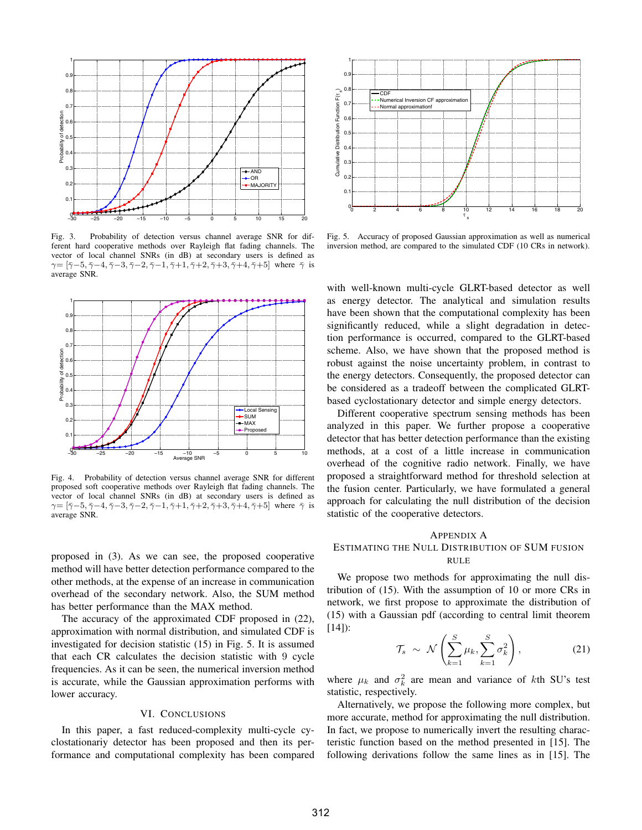

Fig. 3. Probability of detection versus channel average SNR for different hard cooperative methods over Rayleigh flat fading channels. The vector of local channel SNRs (in dB) at secondary users is defined as  $\gamma = [\bar{\gamma}-5, \bar{\gamma}-4, \bar{\gamma}-3, \bar{\gamma}-2, \bar{\gamma}-1, \bar{\gamma}+1, \bar{\gamma}+2, \bar{\gamma}+3, \bar{\gamma}+4, \bar{\gamma}+5]$  where  $\bar{\gamma}$  is average SNR.



Fig. 4. Probability of detection versus channel average SNR for different proposed soft cooperative methods over Rayleigh flat fading channels. The vector of local channel SNRs (in dB) at secondary users is defined as  $\gamma = [\bar{z}_1 - 5, \bar{z}_2 - 4, \bar{z}_3 - 3, \bar{z}_3 - 2, \bar{z}_3 - 1, \bar{z}_3 + 1, \bar{z}_3 + 2, \bar{z}_3 + 3, \bar{z}_3 + 4, \bar{z}_3 + 5]$  where  $\bar{z}_1$  is average SNR.

proposed in (3). As we can see, the proposed cooperative method will have better detection performance compared to the other methods, at the expense of an increase in communication overhead of the secondary network. Also, the SUM method has better performance than the MAX method.

The accuracy of the approximated CDF proposed in (22), approximation with normal distribution, and simulated CDF is investigated for decision statistic (15) in Fig. 5. It is assumed that each CR calculates the decision statistic with 9 cycle frequencies. As it can be seen, the numerical inversion method is accurate, while the Gaussian approximation performs with lower accuracy.

#### VI. CONCLUSIONS

In this paper, a fast reduced-complexity multi-cycle cyclostationariy detector has been proposed and then its performance and computational complexity has been compared



Fig. 5. Accuracy of proposed Gaussian approximation as well as numerical inversion method, are compared to the simulated CDF (10 CRs in network).

with well-known multi-cycle GLRT-based detector as well as energy detector. The analytical and simulation results have been shown that the computational complexity has been significantly reduced, while a slight degradation in detection performance is occurred, compared to the GLRT-based scheme. Also, we have shown that the proposed method is robust against the noise uncertainty problem, in contrast to the energy detectors. Consequently, the proposed detector can be considered as a tradeoff between the complicated GLRTbased cyclostationary detector and simple energy detectors.

Different cooperative spectrum sensing methods has been analyzed in this paper. We further propose a cooperative detector that has better detection performance than the existing methods, at a cost of a little increase in communication overhead of the cognitive radio network. Finally, we have proposed a straightforward method for threshold selection at the fusion center. Particularly, we have formulated a general approach for calculating the null distribution of the decision statistic of the cooperative detectors.

# APPENDIX A ESTIMATING THE NULL DISTRIBUTION OF SUM FUSION RULE

We propose two methods for approximating the null distribution of (15). With the assumption of 10 or more CRs in network, we first propose to approximate the distribution of (15) with a Gaussian pdf (according to central limit theorem [14]):

$$
\mathcal{T}_s \sim \mathcal{N}\left(\sum_{k=1}^S \mu_k, \sum_{k=1}^S \sigma_k^2\right),\tag{21}
$$

where  $\mu_k$  and  $\sigma_k^2$  are mean and variance of kth SU's test statistic, respectively.

Alternatively, we propose the following more complex, but more accurate, method for approximating the null distribution. In fact, we propose to numerically invert the resulting characteristic function based on the method presented in [15]. The following derivations follow the same lines as in [15]. The